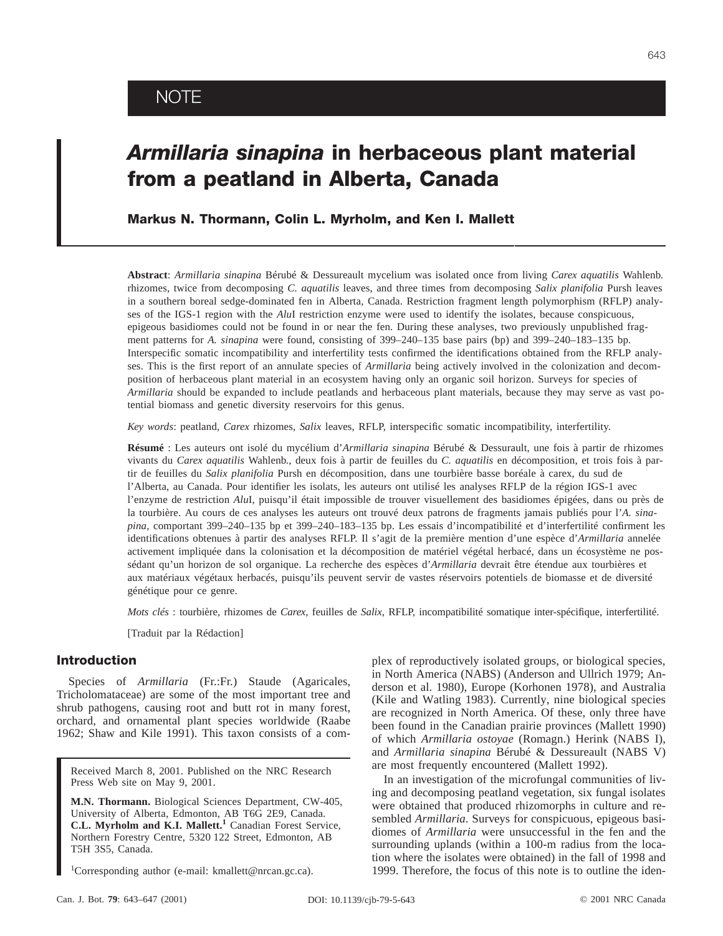# *Armillaria sinapina* **in herbaceous plant material from a peatland in Alberta, Canada**

**Markus N. Thormann, Colin L. Myrholm, and Ken I. Mallett**

**Abstract**: *Armillaria sinapina* Bérubé & Dessureault mycelium was isolated once from living *Carex aquatilis* Wahlenb. rhizomes, twice from decomposing *C. aquatilis* leaves, and three times from decomposing *Salix planifolia* Pursh leaves in a southern boreal sedge-dominated fen in Alberta, Canada. Restriction fragment length polymorphism (RFLP) analyses of the IGS-1 region with the *Alu*I restriction enzyme were used to identify the isolates, because conspicuous, epigeous basidiomes could not be found in or near the fen. During these analyses, two previously unpublished fragment patterns for *A. sinapina* were found, consisting of 399–240–135 base pairs (bp) and 399–240–183–135 bp. Interspecific somatic incompatibility and interfertility tests confirmed the identifications obtained from the RFLP analyses. This is the first report of an annulate species of *Armillaria* being actively involved in the colonization and decomposition of herbaceous plant material in an ecosystem having only an organic soil horizon. Surveys for species of *Armillaria* should be expanded to include peatlands and herbaceous plant materials, because they may serve as vast potential biomass and genetic diversity reservoirs for this genus.

*Key words*: peatland, *Carex* rhizomes, *Salix* leaves, RFLP, interspecific somatic incompatibility, interfertility.

**Résumé** : Les auteurs ont isolé du mycélium d'*Armillaria sinapina* Bérubé & Dessurault, une fois à partir de rhizomes vivants du *Carex aquatilis* Wahlenb., deux fois à partir de feuilles du *C. aquatilis* en décomposition, et trois fois à partir de feuilles du *Salix planifolia* Pursh en décomposition, dans une tourbière basse boréale à carex, du sud de l'Alberta, au Canada. Pour identifier les isolats, les auteurs ont utilisé les analyses RFLP de la région IGS-1 avec l'enzyme de restriction *Alu*I, puisqu'il était impossible de trouver visuellement des basidiomes épigées, dans ou près de la tourbière. Au cours de ces analyses les auteurs ont trouvé deux patrons de fragments jamais publiés pour l'*A. sinapina,* comportant 399–240–135 bp et 399–240–183–135 bp. Les essais d'incompatibilité et d'interfertilité confirment les identifications obtenues à partir des analyses RFLP. Il s'agit de la première mention d'une espèce d'*Armillaria* annelée activement impliquée dans la colonisation et la décomposition de matériel végétal herbacé, dans un écosystème ne possédant qu'un horizon de sol organique. La recherche des espèces d'*Armillaria* devrait être étendue aux tourbières et aux matériaux végétaux herbacés, puisqu'ils peuvent servir de vastes réservoirs potentiels de biomasse et de diversité génétique pour ce genre.

*Mots clés* : tourbière, rhizomes de *Carex*, feuilles de *Salix*, RFLP, incompatibilité somatique inter-spécifique, interfertilité.

[Traduit par la Rédaction]

# **Introduction**

Species of *Armillaria* (Fr.:Fr.) Staude (Agaricales, Tricholomataceae) are some of the most important tree and shrub pathogens, causing root and butt rot in many forest, orchard, and ornamental plant species worldwide (Raabe 1962; Shaw and Kile 1991). This taxon consists of a com-

Received March 8, 2001. Published on the NRC Research Press Web site on May 9, 2001.

**M.N. Thormann.** Biological Sciences Department, CW-405, University of Alberta, Edmonton, AB T6G 2E9, Canada. **C.L. Myrholm and K.I. Mallett.<sup>1</sup>** Canadian Forest Service, Northern Forestry Centre, 5320 122 Street, Edmonton, AB T5H 3S5, Canada.

1 Corresponding author (e-mail: kmallett@nrcan.gc.ca).

plex of reproductively isolated groups, or biological species, in North America (NABS) (Anderson and Ullrich 1979; Anderson et al. 1980), Europe (Korhonen 1978), and Australia (Kile and Watling 1983). Currently, nine biological species are recognized in North America. Of these, only three have been found in the Canadian prairie provinces (Mallett 1990) of which *Armillaria ostoyae* (Romagn.) Herink (NABS I), and *Armillaria sinapina* Bérubé & Dessureault (NABS V) are most frequently encountered (Mallett 1992).

In an investigation of the microfungal communities of living and decomposing peatland vegetation, six fungal isolates were obtained that produced rhizomorphs in culture and resembled *Armillaria*. Surveys for conspicuous, epigeous basidiomes of *Armillaria* were unsuccessful in the fen and the surrounding uplands (within a 100-m radius from the location where the isolates were obtained) in the fall of 1998 and 1999. Therefore, the focus of this note is to outline the iden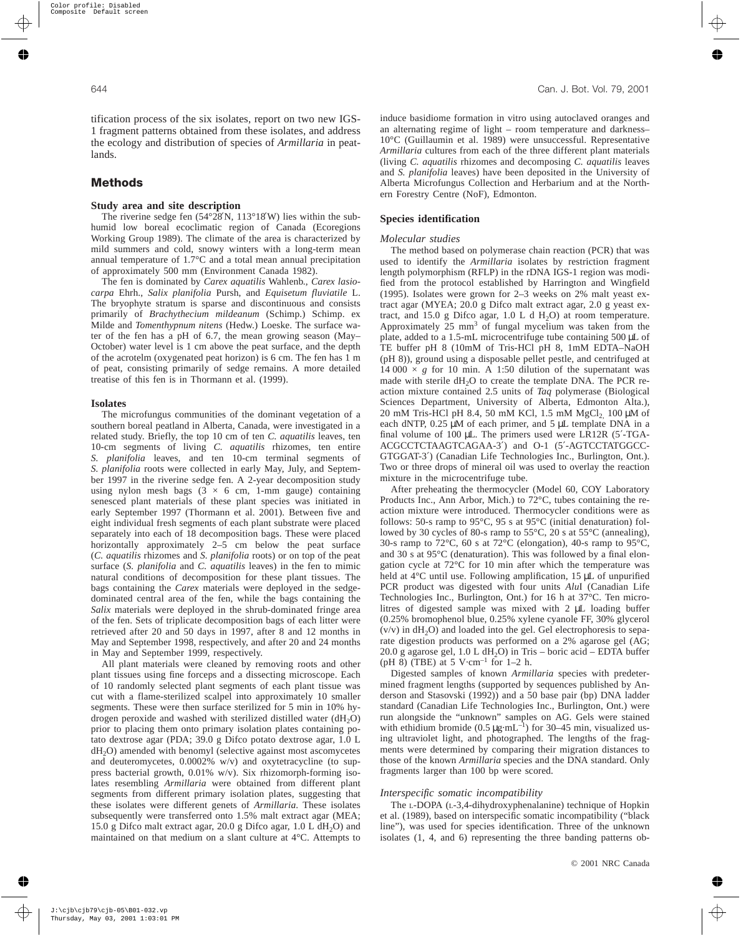tification process of the six isolates, report on two new IGS-1 fragment patterns obtained from these isolates, and address the ecology and distribution of species of *Armillaria* in peatlands.

# **Methods**

## **Study area and site description**

The riverine sedge fen (54°28′N, 113°18′W) lies within the subhumid low boreal ecoclimatic region of Canada (Ecoregions Working Group 1989). The climate of the area is characterized by mild summers and cold, snowy winters with a long-term mean annual temperature of 1.7°C and a total mean annual precipitation of approximately 500 mm (Environment Canada 1982).

The fen is dominated by *Carex aquatilis* Wahlenb., *Carex lasiocarpa* Ehrh., *Salix planifolia* Pursh, and *Equisetum fluviatile* L. The bryophyte stratum is sparse and discontinuous and consists primarily of *Brachythecium mildeanum* (Schimp.) Schimp. ex Milde and *Tomenthypnum nitens* (Hedw.) Loeske. The surface water of the fen has a pH of 6.7, the mean growing season (May– October) water level is 1 cm above the peat surface, and the depth of the acrotelm (oxygenated peat horizon) is 6 cm. The fen has 1 m of peat, consisting primarily of sedge remains. A more detailed treatise of this fen is in Thormann et al. (1999).

#### **Isolates**

The microfungus communities of the dominant vegetation of a southern boreal peatland in Alberta, Canada, were investigated in a related study. Briefly, the top 10 cm of ten *C. aquatilis* leaves, ten 10-cm segments of living *C. aquatilis* rhizomes, ten entire *S. planifolia* leaves, and ten 10-cm terminal segments of *S. planifolia* roots were collected in early May, July, and September 1997 in the riverine sedge fen. A 2-year decomposition study using nylon mesh bags  $(3 \times 6 \text{ cm}, 1\text{-mm})$  gauge) containing senesced plant materials of these plant species was initiated in early September 1997 (Thormann et al. 2001). Between five and eight individual fresh segments of each plant substrate were placed separately into each of 18 decomposition bags. These were placed horizontally approximately 2–5 cm below the peat surface (*C. aquatilis* rhizomes and *S. planifolia* roots) or on top of the peat surface (*S. planifolia* and *C. aquatilis* leaves) in the fen to mimic natural conditions of decomposition for these plant tissues. The bags containing the *Carex* materials were deployed in the sedgedominated central area of the fen, while the bags containing the *Salix* materials were deployed in the shrub-dominated fringe area of the fen. Sets of triplicate decomposition bags of each litter were retrieved after 20 and 50 days in 1997, after 8 and 12 months in May and September 1998, respectively, and after 20 and 24 months in May and September 1999, respectively.

All plant materials were cleaned by removing roots and other plant tissues using fine forceps and a dissecting microscope. Each of 10 randomly selected plant segments of each plant tissue was cut with a flame-sterilized scalpel into approximately 10 smaller segments. These were then surface sterilized for 5 min in 10% hydrogen peroxide and washed with sterilized distilled water  $(dH_2O)$ prior to placing them onto primary isolation plates containing potato dextrose agar (PDA; 39.0 g Difco potato dextrose agar, 1.0 L  $dH<sub>2</sub>O$ ) amended with benomyl (selective against most ascomycetes and deuteromycetes, 0.0002% w/v) and oxytetracycline (to suppress bacterial growth, 0.01% w/v). Six rhizomorph-forming isolates resembling *Armillaria* were obtained from different plant segments from different primary isolation plates, suggesting that these isolates were different genets of *Armillaria*. These isolates subsequently were transferred onto 1.5% malt extract agar (MEA; 15.0 g Difco malt extract agar, 20.0 g Difco agar,  $1.0$  L dH<sub>2</sub>O) and maintained on that medium on a slant culture at 4°C. Attempts to induce basidiome formation in vitro using autoclaved oranges and an alternating regime of light – room temperature and darkness– 10°C (Guillaumin et al. 1989) were unsuccessful. Representative *Armillaria* cultures from each of the three different plant materials (living *C. aquatilis* rhizomes and decomposing *C. aquatilis* leaves and *S. planifolia* leaves) have been deposited in the University of Alberta Microfungus Collection and Herbarium and at the Northern Forestry Centre (NoF), Edmonton.

## **Species identification**

#### *Molecular studies*

The method based on polymerase chain reaction (PCR) that was used to identify the *Armillaria* isolates by restriction fragment length polymorphism (RFLP) in the rDNA IGS-1 region was modified from the protocol established by Harrington and Wingfield (1995). Isolates were grown for 2–3 weeks on 2% malt yeast extract agar (MYEA; 20.0 g Difco malt extract agar, 2.0 g yeast extract, and 15.0 g Difco agar, 1.0 L d  $H_2O$ ) at room temperature. Approximately  $25 \text{ mm}^3$  of fungal mycelium was taken from the plate, added to a 1.5-mL microcentrifuge tube containing 500 µL of TE buffer pH 8 (10mM of Tris-HCl pH 8, 1mM EDTA–NaOH (pH 8)), ground using a disposable pellet pestle, and centrifuged at 14 000  $\times$  *g* for 10 min. A 1:50 dilution of the supernatant was made with sterile  $dH_2O$  to create the template DNA. The PCR reaction mixture contained 2.5 units of *Taq* polymerase (Biological Sciences Department, University of Alberta, Edmonton Alta.), 20 mM Tris-HCl pH 8.4, 50 mM KCl, 1.5 mM MgCl<sub>2</sub> 100 μM of each dNTP, 0.25 µM of each primer, and 5 µL template DNA in a final volume of 100 µL. The primers used were LR12R (5′-TGA-ACGCCTCTAAGTCAGAA-3′) and O-1 (5′-AGTCCTATGGCC-GTGGAT-3′) (Canadian Life Technologies Inc., Burlington, Ont.). Two or three drops of mineral oil was used to overlay the reaction mixture in the microcentrifuge tube.

After preheating the thermocycler (Model 60, COY Laboratory Products Inc., Ann Arbor, Mich.) to 72°C, tubes containing the reaction mixture were introduced. Thermocycler conditions were as follows: 50-s ramp to 95°C, 95 s at 95°C (initial denaturation) followed by 30 cycles of 80-s ramp to 55°C, 20 s at 55°C (annealing), 30-s ramp to 72°C, 60 s at 72°C (elongation), 40-s ramp to 95°C, and 30 s at 95°C (denaturation). This was followed by a final elongation cycle at 72°C for 10 min after which the temperature was held at 4°C until use. Following amplification, 15 µL of unpurified PCR product was digested with four units *Alu*I (Canadian Life Technologies Inc., Burlington, Ont.) for 16 h at 37°C. Ten microlitres of digested sample was mixed with 2 µL loading buffer (0.25% bromophenol blue, 0.25% xylene cyanole FF, 30% glycerol  $(v/v)$  in  $dH<sub>2</sub>O$  and loaded into the gel. Gel electrophoresis to separate digestion products was performed on a 2% agarose gel (AG; 20.0 g agarose gel,  $1.0 L dH<sub>2</sub>O$ ) in Tris – boric acid – EDTA buffer (pH 8) (TBE) at 5 V $\cdot$ cm<sup>-1</sup> for 1–2 h.

Digested samples of known *Armillaria* species with predetermined fragment lengths (supported by sequences published by Anderson and Stasovski (1992)) and a 50 base pair (bp) DNA ladder standard (Canadian Life Technologies Inc., Burlington, Ont.) were run alongside the "unknown" samples on AG. Gels were stained with ethidium bromide (0.5  $\mu$ g·mL<sup>-1</sup>) for 30–45 min, visualized using ultraviolet light, and photographed. The lengths of the fragments were determined by comparing their migration distances to those of the known *Armillaria* species and the DNA standard. Only fragments larger than 100 bp were scored.

#### *Interspecific somatic incompatibility*

The L-DOPA (L-3,4-dihydroxyphenalanine) technique of Hopkin et al. (1989), based on interspecific somatic incompatibility ("black line"), was used for species identification. Three of the unknown isolates (1, 4, and 6) representing the three banding patterns ob-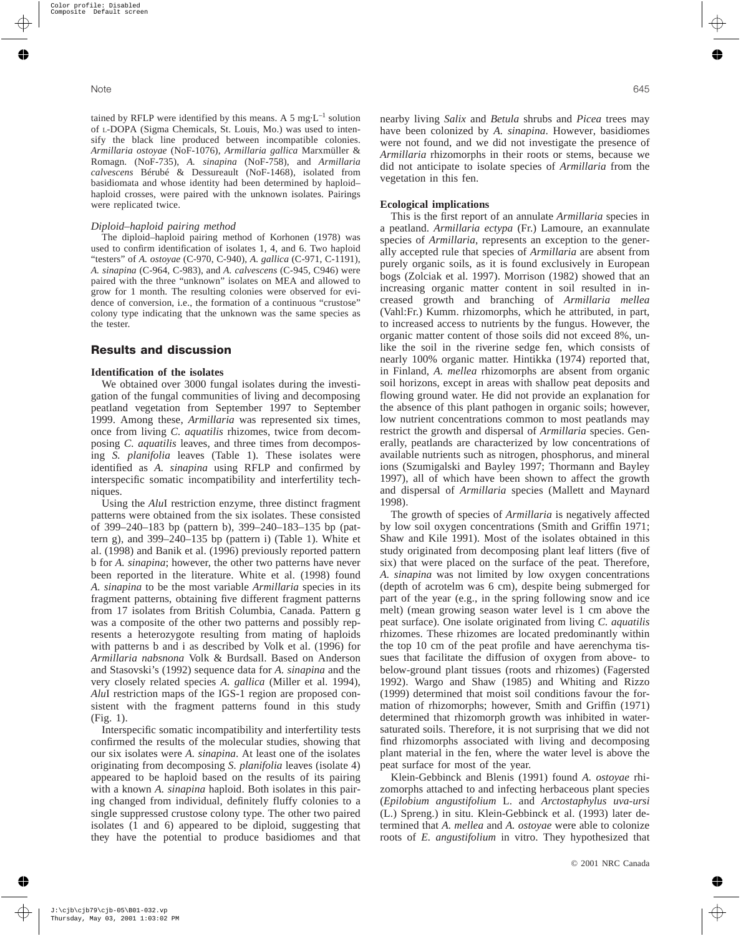tained by RFLP were identified by this means. A 5 mg $\cdot L^{-1}$  solution of L-DOPA (Sigma Chemicals, St. Louis, Mo.) was used to intensify the black line produced between incompatible colonies. *Armillaria ostoyae* (NoF-1076), *Armillaria gallica* Marxmüller & Romagn. (NoF-735), *A. sinapina* (NoF-758), and *Armillaria calvescens* Bérubé & Dessureault (NoF-1468), isolated from basidiomata and whose identity had been determined by haploid– haploid crosses, were paired with the unknown isolates. Pairings were replicated twice.

#### *Diploid–haploid pairing method*

The diploid–haploid pairing method of Korhonen (1978) was used to confirm identification of isolates 1, 4, and 6. Two haploid "testers" of *A. ostoyae* (C-970, C-940), *A. gallica* (C-971, C-1191), *A. sinapina* (C-964, C-983), and *A. calvescens* (C-945, C946) were paired with the three "unknown" isolates on MEA and allowed to grow for 1 month. The resulting colonies were observed for evidence of conversion, i.e., the formation of a continuous "crustose" colony type indicating that the unknown was the same species as the tester.

## **Results and discussion**

#### **Identification of the isolates**

We obtained over 3000 fungal isolates during the investigation of the fungal communities of living and decomposing peatland vegetation from September 1997 to September 1999. Among these, *Armillaria* was represented six times, once from living *C. aquatilis* rhizomes, twice from decomposing *C. aquatilis* leaves, and three times from decomposing *S. planifolia* leaves (Table 1). These isolates were identified as *A. sinapina* using RFLP and confirmed by interspecific somatic incompatibility and interfertility techniques.

Using the *Alu*I restriction enzyme, three distinct fragment patterns were obtained from the six isolates. These consisted of 399–240–183 bp (pattern b), 399–240–183–135 bp (pattern g), and 399–240–135 bp (pattern i) (Table 1). White et al. (1998) and Banik et al. (1996) previously reported pattern b for *A. sinapina*; however, the other two patterns have never been reported in the literature. White et al. (1998) found *A. sinapina* to be the most variable *Armillaria* species in its fragment patterns, obtaining five different fragment patterns from 17 isolates from British Columbia, Canada. Pattern g was a composite of the other two patterns and possibly represents a heterozygote resulting from mating of haploids with patterns b and i as described by Volk et al. (1996) for *Armillaria nabsnona* Volk & Burdsall. Based on Anderson and Stasovski's (1992) sequence data for *A. sinapina* and the very closely related species *A. gallica* (Miller et al. 1994), *Alu*I restriction maps of the IGS-1 region are proposed consistent with the fragment patterns found in this study (Fig. 1).

Interspecific somatic incompatibility and interfertility tests confirmed the results of the molecular studies, showing that our six isolates were *A. sinapina*. At least one of the isolates originating from decomposing *S. planifolia* leaves (isolate 4) appeared to be haploid based on the results of its pairing with a known *A. sinapina* haploid. Both isolates in this pairing changed from individual, definitely fluffy colonies to a single suppressed crustose colony type. The other two paired isolates (1 and 6) appeared to be diploid, suggesting that they have the potential to produce basidiomes and that nearby living *Salix* and *Betula* shrubs and *Picea* trees may have been colonized by *A. sinapina*. However, basidiomes were not found, and we did not investigate the presence of *Armillaria* rhizomorphs in their roots or stems, because we did not anticipate to isolate species of *Armillaria* from the vegetation in this fen.

## **Ecological implications**

This is the first report of an annulate *Armillaria* species in a peatland. *Armillaria ectypa* (Fr.) Lamoure, an exannulate species of *Armillaria*, represents an exception to the generally accepted rule that species of *Armillaria* are absent from purely organic soils, as it is found exclusively in European bogs (Zolciak et al. 1997). Morrison (1982) showed that an increasing organic matter content in soil resulted in increased growth and branching of *Armillaria mellea* (Vahl:Fr.) Kumm. rhizomorphs, which he attributed, in part, to increased access to nutrients by the fungus. However, the organic matter content of those soils did not exceed 8%, unlike the soil in the riverine sedge fen, which consists of nearly 100% organic matter. Hintikka (1974) reported that, in Finland, *A. mellea* rhizomorphs are absent from organic soil horizons, except in areas with shallow peat deposits and flowing ground water. He did not provide an explanation for the absence of this plant pathogen in organic soils; however, low nutrient concentrations common to most peatlands may restrict the growth and dispersal of *Armillaria* species. Generally, peatlands are characterized by low concentrations of available nutrients such as nitrogen, phosphorus, and mineral ions (Szumigalski and Bayley 1997; Thormann and Bayley 1997), all of which have been shown to affect the growth and dispersal of *Armillaria* species (Mallett and Maynard 1998).

The growth of species of *Armillaria* is negatively affected by low soil oxygen concentrations (Smith and Griffin 1971; Shaw and Kile 1991). Most of the isolates obtained in this study originated from decomposing plant leaf litters (five of six) that were placed on the surface of the peat. Therefore, *A. sinapina* was not limited by low oxygen concentrations (depth of acrotelm was 6 cm), despite being submerged for part of the year (e.g., in the spring following snow and ice melt) (mean growing season water level is 1 cm above the peat surface). One isolate originated from living *C. aquatilis* rhizomes. These rhizomes are located predominantly within the top 10 cm of the peat profile and have aerenchyma tissues that facilitate the diffusion of oxygen from above- to below-ground plant tissues (roots and rhizomes) (Fagersted 1992). Wargo and Shaw (1985) and Whiting and Rizzo (1999) determined that moist soil conditions favour the formation of rhizomorphs; however, Smith and Griffin (1971) determined that rhizomorph growth was inhibited in watersaturated soils. Therefore, it is not surprising that we did not find rhizomorphs associated with living and decomposing plant material in the fen, where the water level is above the peat surface for most of the year.

Klein-Gebbinck and Blenis (1991) found *A. ostoyae* rhizomorphs attached to and infecting herbaceous plant species (*Epilobium angustifolium* L. and *Arctostaphylus uva-ursi* (L.) Spreng.) in situ. Klein-Gebbinck et al. (1993) later determined that *A. mellea* and *A. ostoyae* were able to colonize roots of *E. angustifolium* in vitro. They hypothesized that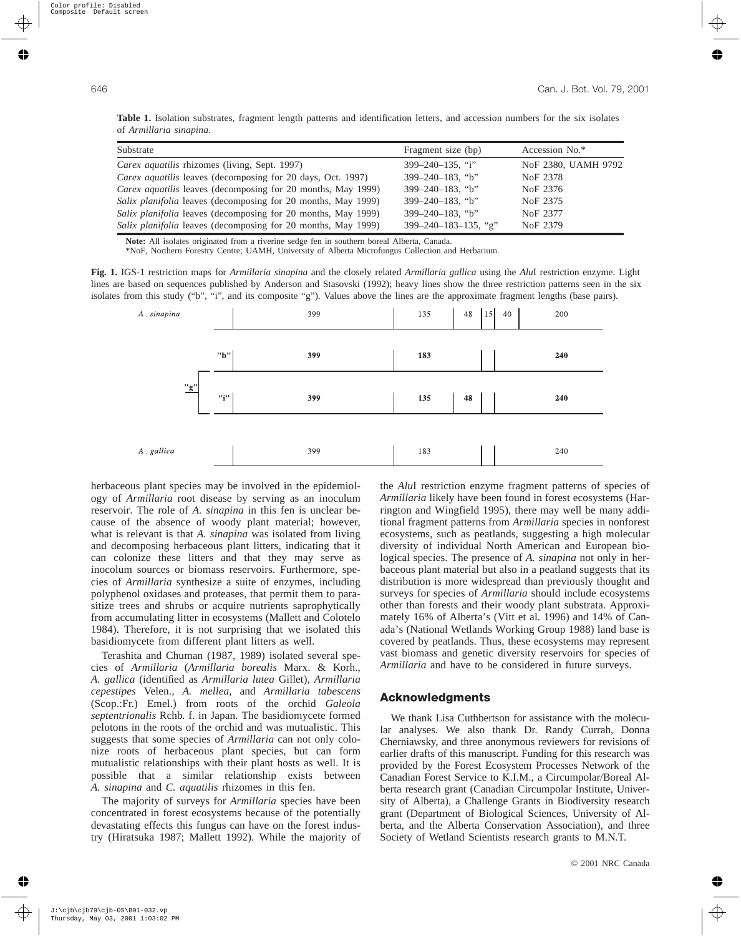**Table 1.** Isolation substrates, fragment length patterns and identification letters, and accession numbers for the six isolates of *Armillaria sinapina*.

| Substrate                                                            | Fragment size (bp)            | Accession No.*       |
|----------------------------------------------------------------------|-------------------------------|----------------------|
| Carex aquatilis rhizomes (living, Sept. 1997)                        | $399 - 240 - 135$ , "i"       | NoF 2380, UAMH 9792  |
| <i>Carex aquatilis</i> leaves (decomposing for 20 days, Oct. 1997)   | $399 - 240 - 183$ , "b"       | NoF 2378             |
| <i>Carex aquatilis leaves (decomposing for 20 months, May 1999)</i>  | $399 - 240 - 183$ , "b"       | No <sub>F</sub> 2376 |
| <i>Salix planifolia</i> leaves (decomposing for 20 months, May 1999) | $399 - 240 - 183$ , "b"       | No <sub>F</sub> 2375 |
| <i>Salix planifolia</i> leaves (decomposing for 20 months, May 1999) | $399 - 240 - 183$ , "b"       | NoF 2377             |
| Salix planifolia leaves (decomposing for 20 months, May 1999)        | $399 - 240 - 183 - 135$ , "g" | No <sub>F</sub> 2379 |

**Note:** All isolates originated from a riverine sedge fen in southern boreal Alberta, Canada.

\*NoF, Northern Forestry Centre; UAMH, University of Alberta Microfungus Collection and Herbarium.

**Fig. 1.** IGS-1 restriction maps for *Armillaria sinapina* and the closely related *Armillaria gallica* using the *Alu*I restriction enzyme. Light lines are based on sequences published by Anderson and Stasovski (1992); heavy lines show the three restriction patterns seen in the six isolates from this study ("b", "i", and its composite "g"). Values above the lines are the approximate fragment lengths (base pairs).



herbaceous plant species may be involved in the epidemiology of *Armillaria* root disease by serving as an inoculum reservoir. The role of *A. sinapina* in this fen is unclear because of the absence of woody plant material; however, what is relevant is that *A. sinapina* was isolated from living and decomposing herbaceous plant litters, indicating that it can colonize these litters and that they may serve as inocolum sources or biomass reservoirs. Furthermore, species of *Armillaria* synthesize a suite of enzymes, including polyphenol oxidases and proteases, that permit them to parasitize trees and shrubs or acquire nutrients saprophytically from accumulating litter in ecosystems (Mallett and Colotelo 1984). Therefore, it is not surprising that we isolated this basidiomycete from different plant litters as well.

Terashita and Chuman (1987, 1989) isolated several species of *Armillaria* (*Armillaria borealis* Marx. & Korh., *A. gallica* (identified as *Armillaria lutea* Gillet), *Armillaria cepestipes* Velen., *A. mellea*, and *Armillaria tabescens* (Scop.:Fr.) Emel.) from roots of the orchid *Galeola septentrionalis* Rchb. f. in Japan. The basidiomycete formed pelotons in the roots of the orchid and was mutualistic. This suggests that some species of *Armillaria* can not only colonize roots of herbaceous plant species, but can form mutualistic relationships with their plant hosts as well. It is possible that a similar relationship exists between *A. sinapina* and *C. aquatilis* rhizomes in this fen.

The majority of surveys for *Armillaria* species have been concentrated in forest ecosystems because of the potentially devastating effects this fungus can have on the forest industry (Hiratsuka 1987; Mallett 1992). While the majority of the *Alu*I restriction enzyme fragment patterns of species of *Armillaria* likely have been found in forest ecosystems (Harrington and Wingfield 1995), there may well be many additional fragment patterns from *Armillaria* species in nonforest ecosystems, such as peatlands, suggesting a high molecular diversity of individual North American and European biological species. The presence of *A. sinapina* not only in herbaceous plant material but also in a peatland suggests that its distribution is more widespread than previously thought and surveys for species of *Armillaria* should include ecosystems other than forests and their woody plant substrata. Approximately 16% of Alberta's (Vitt et al. 1996) and 14% of Canada's (National Wetlands Working Group 1988) land base is covered by peatlands. Thus, these ecosystems may represent vast biomass and genetic diversity reservoirs for species of *Armillaria* and have to be considered in future surveys.

## **Acknowledgments**

We thank Lisa Cuthbertson for assistance with the molecular analyses. We also thank Dr. Randy Currah, Donna Cherniawsky, and three anonymous reviewers for revisions of earlier drafts of this manuscript. Funding for this research was provided by the Forest Ecosystem Processes Network of the Canadian Forest Service to K.I.M., a Circumpolar/Boreal Alberta research grant (Canadian Circumpolar Institute, University of Alberta), a Challenge Grants in Biodiversity research grant (Department of Biological Sciences, University of Alberta, and the Alberta Conservation Association), and three Society of Wetland Scientists research grants to M.N.T.